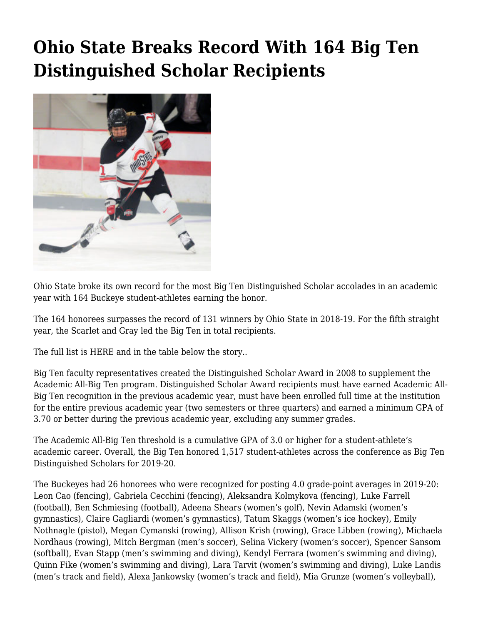## **[Ohio State Breaks Record With 164 Big Ten](https://www.buckeyesports.com/ohio-state-breaks-record-with-164-big-ten-distinguished-scholar-recipients/) [Distinguished Scholar Recipients](https://www.buckeyesports.com/ohio-state-breaks-record-with-164-big-ten-distinguished-scholar-recipients/)**



Ohio State broke its own record for the most Big Ten Distinguished Scholar accolades in an academic year with 164 Buckeye student-athletes earning the honor.

The 164 honorees surpasses the record of 131 winners by Ohio State in 2018-19. For the fifth straight year, the Scarlet and Gray led the Big Ten in total recipients.

The full list is [HERE](https://go.osu.edu/b1gdistschlistpdf2020) and in the table below the story..

Big Ten faculty representatives created the Distinguished Scholar Award in 2008 to supplement the Academic All-Big Ten program. Distinguished Scholar Award recipients must have earned Academic All-Big Ten recognition in the previous academic year, must have been enrolled full time at the institution for the entire previous academic year (two semesters or three quarters) and earned a minimum GPA of 3.70 or better during the previous academic year, excluding any summer grades.

The Academic All-Big Ten threshold is a cumulative GPA of 3.0 or higher for a student-athlete's academic career. Overall, the Big Ten honored 1,517 student-athletes across the conference as Big Ten Distinguished Scholars for 2019-20.

The Buckeyes had 26 honorees who were recognized for posting 4.0 grade-point averages in 2019-20: Leon Cao (fencing), Gabriela Cecchini (fencing), Aleksandra Kolmykova (fencing), Luke Farrell (football), Ben Schmiesing (football), Adeena Shears (women's golf), Nevin Adamski (women's gymnastics), Claire Gagliardi (women's gymnastics), Tatum Skaggs (women's ice hockey), Emily Nothnagle (pistol), Megan Cymanski (rowing), Allison Krish (rowing), Grace Libben (rowing), Michaela Nordhaus (rowing), Mitch Bergman (men's soccer), Selina Vickery (women's soccer), Spencer Sansom (softball), Evan Stapp (men's swimming and diving), Kendyl Ferrara (women's swimming and diving), Quinn Fike (women's swimming and diving), Lara Tarvit (women's swimming and diving), Luke Landis (men's track and field), Alexa Jankowsky (women's track and field), Mia Grunze (women's volleyball),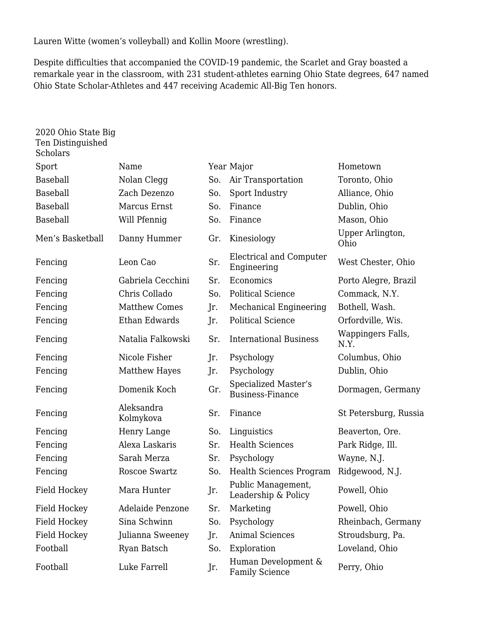Lauren Witte (women's volleyball) and Kollin Moore (wrestling).

Despite difficulties that accompanied the COVID-19 pandemic, the Scarlet and Gray boasted a remarkale year in the classroom, with 231 student-athletes earning Ohio State degrees, 647 named Ohio State Scholar-Athletes and 447 receiving Academic All-Big Ten honors.

| 2020 Ohio State Big<br>Ten Distinguished<br><b>Scholars</b> |                         |     |                                                 |                           |
|-------------------------------------------------------------|-------------------------|-----|-------------------------------------------------|---------------------------|
| Sport                                                       | Name                    |     | Year Major                                      | Hometown                  |
| <b>Baseball</b>                                             | Nolan Clegg             | So. | Air Transportation                              | Toronto, Ohio             |
| Baseball                                                    | Zach Dezenzo            | So. | Sport Industry                                  | Alliance, Ohio            |
| <b>Baseball</b>                                             | Marcus Ernst            | So. | Finance                                         | Dublin, Ohio              |
| Baseball                                                    | Will Pfennig            | So. | Finance                                         | Mason, Ohio               |
| Men's Basketball                                            | Danny Hummer            | Gr. | Kinesiology                                     | Upper Arlington,<br>Ohio  |
| Fencing                                                     | Leon Cao                | Sr. | Electrical and Computer<br>Engineering          | West Chester, Ohio        |
| Fencing                                                     | Gabriela Cecchini       | Sr. | Economics                                       | Porto Alegre, Brazil      |
| Fencing                                                     | Chris Collado           | So. | <b>Political Science</b>                        | Commack, N.Y.             |
| Fencing                                                     | <b>Matthew Comes</b>    | Jr. | Mechanical Engineering                          | Bothell, Wash.            |
| Fencing                                                     | Ethan Edwards           | Jr. | <b>Political Science</b>                        | Orfordville, Wis.         |
| Fencing                                                     | Natalia Falkowski       | Sr. | <b>International Business</b>                   | Wappingers Falls,<br>N.Y. |
| Fencing                                                     | Nicole Fisher           | Jr. | Psychology                                      | Columbus, Ohio            |
| Fencing                                                     | <b>Matthew Hayes</b>    | Jr. | Psychology                                      | Dublin, Ohio              |
| Fencing                                                     | Domenik Koch            | Gr. | Specialized Master's<br><b>Business-Finance</b> | Dormagen, Germany         |
| Fencing                                                     | Aleksandra<br>Kolmykova | Sr. | Finance                                         | St Petersburg, Russia     |
| Fencing                                                     | Henry Lange             | So. | Linguistics                                     | Beaverton, Ore.           |
| Fencing                                                     | Alexa Laskaris          | Sr. | <b>Health Sciences</b>                          | Park Ridge, Ill.          |
| Fencing                                                     | Sarah Merza             | Sr. | Psychology                                      | Wayne, N.J.               |
| Fencing                                                     | Roscoe Swartz           | So. | <b>Health Sciences Program</b>                  | Ridgewood, N.J.           |
| <b>Field Hockey</b>                                         | Mara Hunter             | Jr. | Public Management,<br>Leadership & Policy       | Powell, Ohio              |
| <b>Field Hockey</b>                                         | Adelaide Penzone        | Sr. | Marketing                                       | Powell, Ohio              |
| <b>Field Hockey</b>                                         | Sina Schwinn            | So. | Psychology                                      | Rheinbach, Germany        |
| Field Hockey                                                | Julianna Sweeney        | Jr. | <b>Animal Sciences</b>                          | Stroudsburg, Pa.          |
| Football                                                    | Ryan Batsch             | So. | Exploration                                     | Loveland, Ohio            |
| Football                                                    | Luke Farrell            | Jr. | Human Development &<br><b>Family Science</b>    | Perry, Ohio               |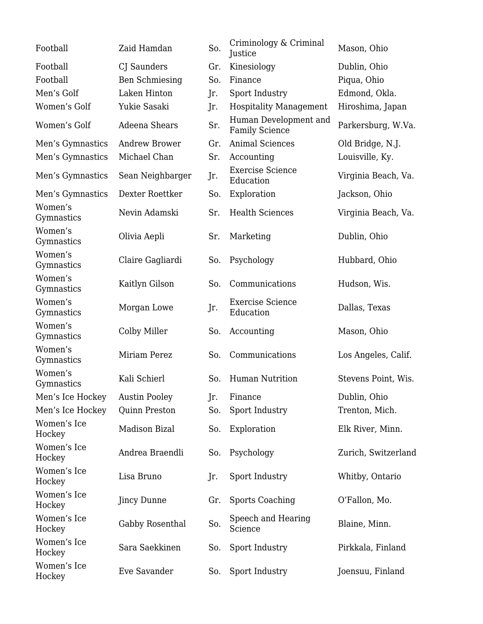| Football              | Zaid Hamdan           | So. | Criminology & Criminal<br>Justice              | Mason, Ohio         |
|-----------------------|-----------------------|-----|------------------------------------------------|---------------------|
| Football              | CJ Saunders           | Gr. | Kinesiology                                    | Dublin, Ohio        |
| Football              | <b>Ben Schmiesing</b> | So. | Finance                                        | Piqua, Ohio         |
| Men's Golf            | Laken Hinton          | Jr. | Sport Industry                                 | Edmond, Okla.       |
| Women's Golf          | Yukie Sasaki          | Jr. | <b>Hospitality Management</b>                  | Hiroshima, Japan    |
| Women's Golf          | Adeena Shears         | Sr. | Human Development and<br><b>Family Science</b> | Parkersburg, W.Va.  |
| Men's Gymnastics      | <b>Andrew Brower</b>  | Gr. | <b>Animal Sciences</b>                         | Old Bridge, N.J.    |
| Men's Gymnastics      | Michael Chan          | Sr. | Accounting                                     | Louisville, Ky.     |
| Men's Gymnastics      | Sean Neighbarger      | Jr. | <b>Exercise Science</b><br>Education           | Virginia Beach, Va. |
| Men's Gymnastics      | Dexter Roettker       | So. | Exploration                                    | Jackson, Ohio       |
| Women's<br>Gymnastics | Nevin Adamski         | Sr. | <b>Health Sciences</b>                         | Virginia Beach, Va. |
| Women's<br>Gymnastics | Olivia Aepli          | Sr. | Marketing                                      | Dublin, Ohio        |
| Women's<br>Gymnastics | Claire Gagliardi      | So. | Psychology                                     | Hubbard, Ohio       |
| Women's<br>Gymnastics | Kaitlyn Gilson        | So. | Communications                                 | Hudson, Wis.        |
| Women's<br>Gymnastics | Morgan Lowe           | Jr. | <b>Exercise Science</b><br>Education           | Dallas, Texas       |
| Women's<br>Gymnastics | Colby Miller          | So. | Accounting                                     | Mason, Ohio         |
| Women's<br>Gymnastics | Miriam Perez          | So. | Communications                                 | Los Angeles, Calif. |
| Women's<br>Gymnastics | Kali Schierl          | So. | <b>Human Nutrition</b>                         | Stevens Point, Wis. |
| Men's Ice Hockey      | <b>Austin Pooley</b>  | Jr. | Finance                                        | Dublin, Ohio        |
| Men's Ice Hockey      | <b>Quinn Preston</b>  | So. | Sport Industry                                 | Trenton, Mich.      |
| Women's Ice<br>Hockey | <b>Madison Bizal</b>  | So. | Exploration                                    | Elk River, Minn.    |
| Women's Ice<br>Hockey | Andrea Braendli       | So. | Psychology                                     | Zurich, Switzerland |
| Women's Ice<br>Hockey | Lisa Bruno            | Jr. | Sport Industry                                 | Whitby, Ontario     |
| Women's Ice<br>Hockey | <b>Jincy Dunne</b>    | Gr. | <b>Sports Coaching</b>                         | O'Fallon, Mo.       |
| Women's Ice<br>Hockey | Gabby Rosenthal       | So. | Speech and Hearing<br>Science                  | Blaine, Minn.       |
| Women's Ice<br>Hockey | Sara Saekkinen        | So. | Sport Industry                                 | Pirkkala, Finland   |
| Women's Ice<br>Hockey | Eve Savander          | So. | Sport Industry                                 | Joensuu, Finland    |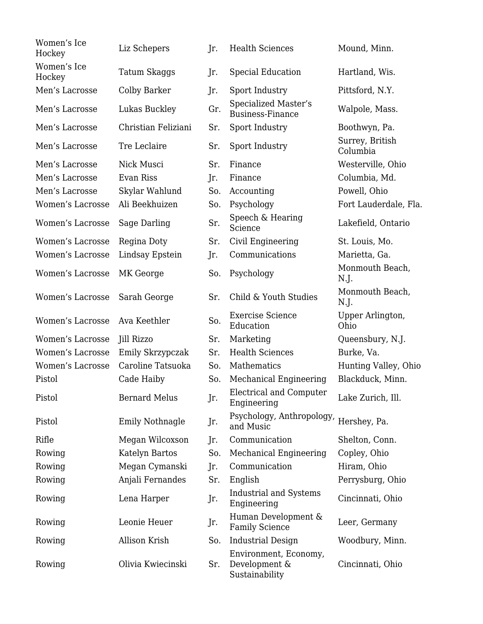| Women's Ice<br>Hockey   | Liz Schepers           | Jr. | <b>Health Sciences</b>                                   | Mound, Minn.                |
|-------------------------|------------------------|-----|----------------------------------------------------------|-----------------------------|
| Women's Ice<br>Hockey   | Tatum Skaggs           | Jr. | Special Education                                        | Hartland, Wis.              |
| Men's Lacrosse          | Colby Barker           | Jr. | Sport Industry                                           | Pittsford, N.Y.             |
| Men's Lacrosse          | Lukas Buckley          | Gr. | Specialized Master's<br><b>Business-Finance</b>          | Walpole, Mass.              |
| Men's Lacrosse          | Christian Feliziani    | Sr. | Sport Industry                                           | Boothwyn, Pa.               |
| Men's Lacrosse          | Tre Leclaire           | Sr. | Sport Industry                                           | Surrey, British<br>Columbia |
| Men's Lacrosse          | Nick Musci             | Sr. | Finance                                                  | Westerville, Ohio           |
| Men's Lacrosse          | Evan Riss              | Jr. | Finance                                                  | Columbia, Md.               |
| Men's Lacrosse          | Skylar Wahlund         | So. | Accounting                                               | Powell, Ohio                |
| <b>Women's Lacrosse</b> | Ali Beekhuizen         | So. | Psychology                                               | Fort Lauderdale, Fla.       |
| Women's Lacrosse        | Sage Darling           | Sr. | Speech & Hearing<br>Science                              | Lakefield, Ontario          |
| Women's Lacrosse        | Regina Doty            | Sr. | Civil Engineering                                        | St. Louis, Mo.              |
| Women's Lacrosse        | Lindsay Epstein        | Jr. | Communications                                           | Marietta, Ga.               |
| Women's Lacrosse        | MK George              | So. | Psychology                                               | Monmouth Beach,<br>N.J.     |
| Women's Lacrosse        | Sarah George           | Sr. | Child & Youth Studies                                    | Monmouth Beach,<br>N.J.     |
| Women's Lacrosse        | Ava Keethler           | So. | <b>Exercise Science</b><br>Education                     | Upper Arlington,<br>Ohio    |
| Women's Lacrosse        | Jill Rizzo             | Sr. | Marketing                                                | Queensbury, N.J.            |
| Women's Lacrosse        | Emily Skrzypczak       | Sr. | <b>Health Sciences</b>                                   | Burke, Va.                  |
| Women's Lacrosse        | Caroline Tatsuoka      | So. | Mathematics                                              | Hunting Valley, Ohio        |
| Pistol                  | Cade Haiby             | So. | Mechanical Engineering                                   | Blackduck, Minn.            |
| Pistol                  | <b>Bernard Melus</b>   | Jr. | Electrical and Computer<br>Engineering                   | Lake Zurich, Ill.           |
| Pistol                  | <b>Emily Nothnagle</b> | Jr. | Psychology, Anthropology,<br>and Music                   | Hershey, Pa.                |
| Rifle                   | Megan Wilcoxson        | Jr. | Communication                                            | Shelton, Conn.              |
| Rowing                  | Katelyn Bartos         | So. | Mechanical Engineering                                   | Copley, Ohio                |
| Rowing                  | Megan Cymanski         | Jr. | Communication                                            | Hiram, Ohio                 |
| Rowing                  | Anjali Fernandes       | Sr. | English                                                  | Perrysburg, Ohio            |
| Rowing                  | Lena Harper            | Jr. | <b>Industrial and Systems</b><br>Engineering             | Cincinnati, Ohio            |
| Rowing                  | Leonie Heuer           | Jr. | Human Development &<br><b>Family Science</b>             | Leer, Germany               |
| Rowing                  | Allison Krish          | So. | <b>Industrial Design</b>                                 | Woodbury, Minn.             |
| Rowing                  | Olivia Kwiecinski      | Sr. | Environment, Economy,<br>Development &<br>Sustainability | Cincinnati, Ohio            |
|                         |                        |     |                                                          |                             |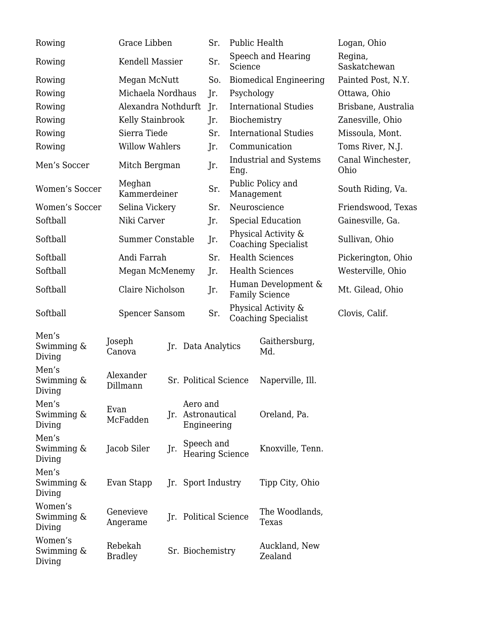| Rowing                          | Grace Libben              |                    |                                              | Sr. |                                                   | <b>Public Health</b>                              | Logan, Ohio               |
|---------------------------------|---------------------------|--------------------|----------------------------------------------|-----|---------------------------------------------------|---------------------------------------------------|---------------------------|
| Rowing                          |                           | Kendell Massier    |                                              | Sr. | Science                                           | Speech and Hearing                                | Regina,<br>Saskatchewan   |
| Rowing                          |                           | Megan McNutt       |                                              | So. |                                                   | <b>Biomedical Engineering</b>                     | Painted Post, N.Y.        |
| Rowing                          |                           | Michaela Nordhaus  |                                              | Jr. | Psychology                                        |                                                   | Ottawa, Ohio              |
| Rowing                          | Alexandra Nothdurft       |                    |                                              | Jr. | <b>International Studies</b>                      |                                                   | Brisbane, Australia       |
| Rowing                          | Kelly Stainbrook          |                    |                                              | Jr. | Biochemistry                                      |                                                   | Zanesville, Ohio          |
| Rowing                          | Sierra Tiede              |                    |                                              | Sr. |                                                   | <b>International Studies</b>                      | Missoula, Mont.           |
| Rowing                          | <b>Willow Wahlers</b>     |                    |                                              | Jr. | Communication                                     |                                                   | Toms River, N.J.          |
| Men's Soccer                    | Mitch Bergman             |                    |                                              | Jr. | Eng.                                              | Industrial and Systems                            | Canal Winchester,<br>Ohio |
| Women's Soccer                  | Meghan<br>Kammerdeiner    |                    |                                              | Sr. |                                                   | Public Policy and<br>Management                   | South Riding, Va.         |
| <b>Women's Soccer</b>           | Selina Vickery            |                    |                                              | Sr. |                                                   | Neuroscience                                      | Friendswood, Texas        |
| Softball                        | Niki Carver               |                    |                                              | Jr. |                                                   | <b>Special Education</b>                          | Gainesville, Ga.          |
| Softball                        | <b>Summer Constable</b>   |                    |                                              | Jr. |                                                   | Physical Activity &<br><b>Coaching Specialist</b> | Sullivan, Ohio            |
| Softball                        | Andi Farrah               |                    |                                              | Sr. |                                                   | <b>Health Sciences</b>                            | Pickerington, Ohio        |
| Softball                        | Megan McMenemy            |                    |                                              | Jr. |                                                   | <b>Health Sciences</b>                            | Westerville, Ohio         |
| Softball                        | Claire Nicholson          |                    |                                              | Jr. | Human Development &<br><b>Family Science</b>      |                                                   | Mt. Gilead, Ohio          |
| Softball                        | <b>Spencer Sansom</b>     |                    |                                              |     | Physical Activity &<br><b>Coaching Specialist</b> |                                                   | Clovis, Calif.            |
| Men's<br>Swimming &<br>Diving   | Joseph<br>Canova          | Jr. Data Analytics |                                              |     |                                                   | Gaithersburg,<br>Md.                              |                           |
| Men's<br>Swimming &<br>Diving   | Alexander<br>Dillmann     |                    |                                              |     | Sr. Political Science                             | Naperville, Ill.                                  |                           |
| Men's<br>Swimming &<br>Diving   | Evan<br>McFadden          |                    | Aero and<br>Jr. Astronautical<br>Engineering |     |                                                   | Oreland, Pa.                                      |                           |
| Men's<br>Swimming &<br>Diving   | Jacob Siler               | Jr.                | Speech and<br><b>Hearing Science</b>         |     |                                                   | Knoxville, Tenn.                                  |                           |
| Men's<br>Swimming &<br>Diving   | Evan Stapp                |                    | Jr. Sport Industry                           |     |                                                   | Tipp City, Ohio                                   |                           |
| Women's<br>Swimming &<br>Diving | Genevieve<br>Angerame     |                    | Jr. Political Science                        |     |                                                   | The Woodlands,<br>Texas                           |                           |
| Women's<br>Swimming &<br>Diving | Rebekah<br><b>Bradley</b> |                    | Sr. Biochemistry                             |     |                                                   | Auckland, New<br>Zealand                          |                           |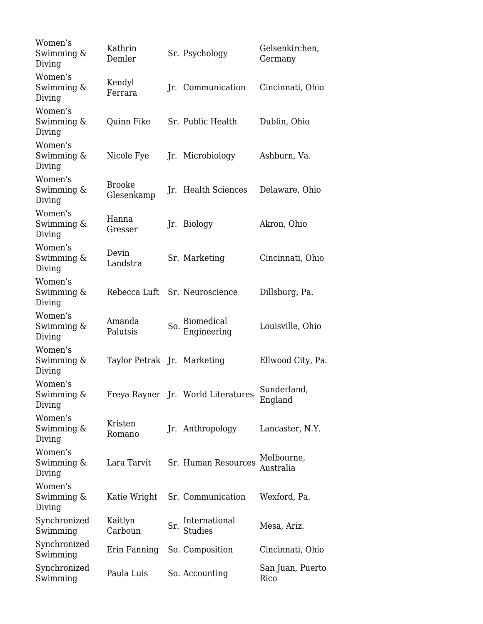| Women's<br>Swimming $\&$<br>Diving | Kathrin<br>Demler             |     | Sr. Psychology                     | Gelsenkirchen,<br>Germany |
|------------------------------------|-------------------------------|-----|------------------------------------|---------------------------|
| Women's<br>Swimming &<br>Diving    | Kendyl<br>Ferrara             |     | Jr. Communication                  | Cincinnati, Ohio          |
| Women's<br>Swimming $\&$<br>Diving | Quinn Fike                    |     | Sr. Public Health                  | Dublin, Ohio              |
| Women's<br>Swimming &<br>Diving    | Nicole Fye                    |     | Jr. Microbiology                   | Ashburn, Va.              |
| Women's<br>Swimming &<br>Diving    | <b>Brooke</b><br>Glesenkamp   |     | Jr. Health Sciences                | Delaware, Ohio            |
| Women's<br>Swimming $\&$<br>Diving | Hanna<br>Gresser              |     | Jr. Biology                        | Akron, Ohio               |
| Women's<br>Swimming $\&$<br>Diving | Devin<br>Landstra             |     | Sr. Marketing                      | Cincinnati, Ohio          |
| Women's<br>Swimming &<br>Diving    | Rebecca Luft Sr. Neuroscience |     |                                    | Dillsburg, Pa.            |
| Women's<br>Swimming &<br>Diving    | Amanda<br>Palutsis            | So. | <b>Biomedical</b><br>Engineering   | Louisville, Ohio          |
| Women's<br>Swimming $\&$<br>Diving | Taylor Petrak Jr. Marketing   |     |                                    | Ellwood City, Pa.         |
| Women's<br>Swimming &<br>Diving    |                               |     | Freya Rayner Jr. World Literatures | Sunderland,<br>England    |
| Women's<br>Swimming $\&$<br>Diving | Kristen<br>Romano             |     | Jr. Anthropology                   | Lancaster, N.Y.           |
| Women's<br>Swimming &<br>Diving    | Lara Tarvit                   |     | Sr. Human Resources                | Melbourne,<br>Australia   |
| Women's<br>Swimming &<br>Diving    | Katie Wright                  |     | Sr. Communication                  | Wexford, Pa.              |
| Synchronized<br>Swimming           | Kaitlyn<br>Carboun            | Sr. | International<br><b>Studies</b>    | Mesa, Ariz.               |
| Synchronized<br>Swimming           | Erin Fanning                  |     | So. Composition                    | Cincinnati, Ohio          |
| Synchronized<br>Swimming           | Paula Luis                    |     | So. Accounting                     | San Juan, Puerto<br>Rico  |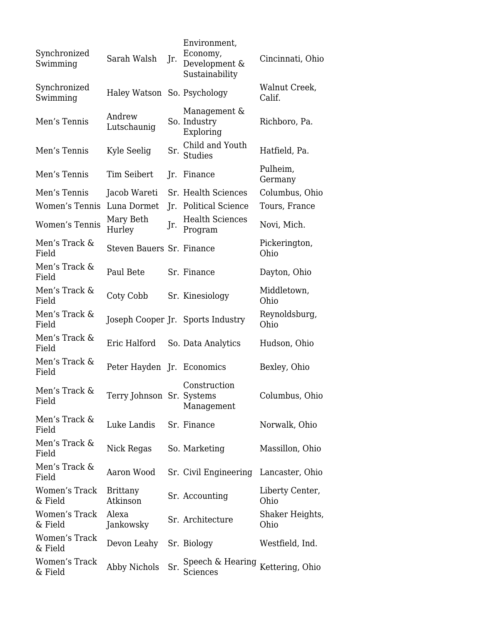| Synchronized<br>Swimming | Sarah Walsh                 | Jr. | Environment,<br>Economy,<br>Development &<br>Sustainability | Cincinnati, Ohio        |
|--------------------------|-----------------------------|-----|-------------------------------------------------------------|-------------------------|
| Synchronized<br>Swimming | Haley Watson So. Psychology |     |                                                             | Walnut Creek,<br>Calif. |
| Men's Tennis             | Andrew<br>Lutschaunig       |     | Management &<br>So. Industry<br>Exploring                   | Richboro, Pa.           |
| Men's Tennis             | Kyle Seelig                 |     | Child and Youth<br>Sr. $\frac{6}{5}$ Studies                | Hatfield, Pa.           |
| Men's Tennis             | <b>Tim Seibert</b>          |     | Jr. Finance                                                 | Pulheim,<br>Germany     |
| Men's Tennis             | Jacob Wareti                |     | Sr. Health Sciences                                         | Columbus, Ohio          |
| Women's Tennis           | Luna Dormet                 | Jr. | <b>Political Science</b>                                    | Tours, France           |
| <b>Women's Tennis</b>    | Mary Beth<br>Hurley         | Jr. | <b>Health Sciences</b><br>Program                           | Novi, Mich.             |
| Men's Track &<br>Field   | Steven Bauers Sr. Finance   |     |                                                             | Pickerington,<br>Ohio   |
| Men's Track &<br>Field   | Paul Bete                   |     | Sr. Finance                                                 | Dayton, Ohio            |
| Men's Track &<br>Field   | Coty Cobb                   |     | Sr. Kinesiology                                             | Middletown,<br>Ohio     |
| Men's Track &<br>Field   |                             |     | Joseph Cooper Jr. Sports Industry                           | Reynoldsburg,<br>Ohio   |
| Men's Track &<br>Field   | Eric Halford                |     | So. Data Analytics                                          | Hudson, Ohio            |
| Men's Track &<br>Field   | Peter Hayden Jr. Economics  |     |                                                             | Bexley, Ohio            |
| Men's Track &<br>Field   | Terry Johnson Sr. Systems   |     | Construction<br>Management                                  | Columbus, Ohio          |
| Men's Track &<br>Field   | Luke Landis                 |     | Sr. Finance                                                 | Norwalk, Ohio           |
| Men's Track &<br>Field   | Nick Regas                  |     | So. Marketing                                               | Massillon, Ohio         |
| Men's Track &<br>Field   | Aaron Wood                  |     | Sr. Civil Engineering                                       | Lancaster, Ohio         |
| Women's Track<br>& Field | <b>Brittany</b><br>Atkinson |     | Sr. Accounting                                              | Liberty Center,<br>Ohio |
| Women's Track<br>& Field | Alexa<br>Jankowsky          |     | Sr. Architecture                                            | Shaker Heights,<br>Ohio |
| Women's Track<br>& Field | Devon Leahy                 |     | Sr. Biology                                                 | Westfield, Ind.         |
| Women's Track<br>& Field | Abby Nichols                | Sr. | Speech & Hearing $\,$ Kettering, Ohio $\,$<br>Sciences      |                         |